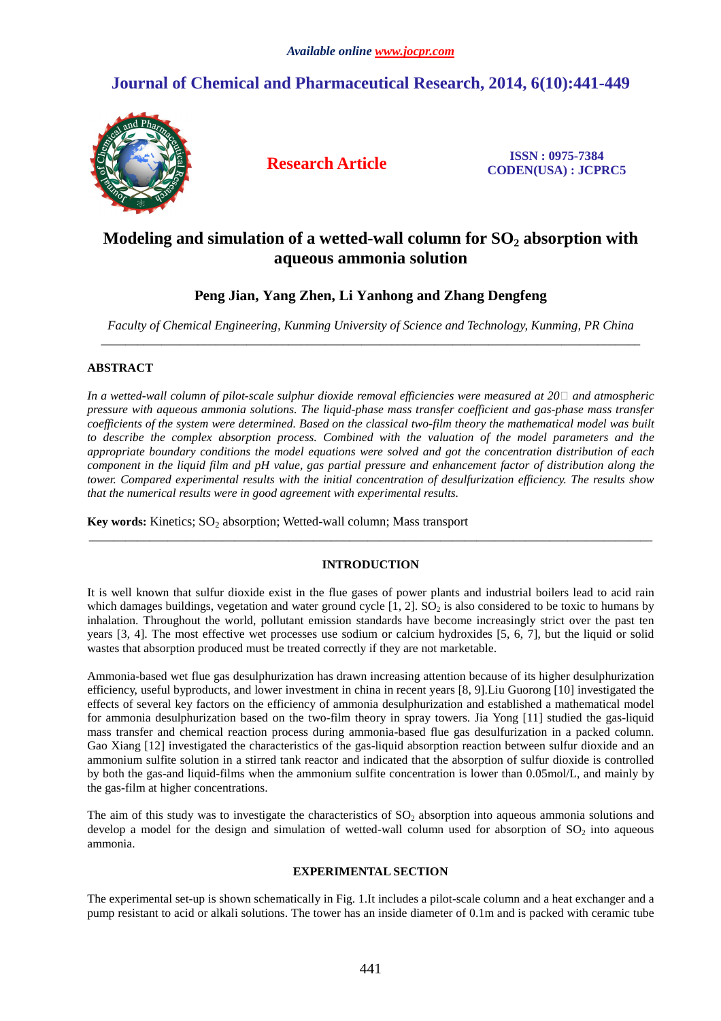# **Journal of Chemical and Pharmaceutical Research, 2014, 6(10):441-449**



**Research Article ISSN : 0975-7384 CODEN(USA) : JCPRC5**

# **Modeling and simulation of a wetted-wall column for SO2 absorption with aqueous ammonia solution**

## **Peng Jian, Yang Zhen, Li Yanhong and Zhang Dengfeng**

*Faculty of Chemical Engineering, Kunming University of Science and Technology, Kunming, PR China*  \_\_\_\_\_\_\_\_\_\_\_\_\_\_\_\_\_\_\_\_\_\_\_\_\_\_\_\_\_\_\_\_\_\_\_\_\_\_\_\_\_\_\_\_\_\_\_\_\_\_\_\_\_\_\_\_\_\_\_\_\_\_\_\_\_\_\_\_\_\_\_\_\_\_\_\_\_\_\_\_\_\_\_\_\_\_\_\_\_

## **ABSTRACT**

*In a wetted-wall column of pilot-scale sulphur dioxide removal efficiencies were measured at 20*□ *and atmospheric pressure with aqueous ammonia solutions. The liquid-phase mass transfer coefficient and gas-phase mass transfer coefficients of the system were determined. Based on the classical two-film theory the mathematical model was built to describe the complex absorption process. Combined with the valuation of the model parameters and the appropriate boundary conditions the model equations were solved and got the concentration distribution of each component in the liquid film and pH value, gas partial pressure and enhancement factor of distribution along the tower. Compared experimental results with the initial concentration of desulfurization efficiency. The results show that the numerical results were in good agreement with experimental results.* 

**Key words:** Kinetics; SO<sub>2</sub> absorption; Wetted-wall column; Mass transport

## **INTRODUCTION**

\_\_\_\_\_\_\_\_\_\_\_\_\_\_\_\_\_\_\_\_\_\_\_\_\_\_\_\_\_\_\_\_\_\_\_\_\_\_\_\_\_\_\_\_\_\_\_\_\_\_\_\_\_\_\_\_\_\_\_\_\_\_\_\_\_\_\_\_\_\_\_\_\_\_\_\_\_\_\_\_\_\_\_\_\_\_\_\_\_\_\_\_\_

It is well known that sulfur dioxide exist in the flue gases of power plants and industrial boilers lead to acid rain which damages buildings, vegetation and water ground cycle  $[1, 2]$ . SO<sub>2</sub> is also considered to be toxic to humans by inhalation. Throughout the world, pollutant emission standards have become increasingly strict over the past ten years [3, 4]. The most effective wet processes use sodium or calcium hydroxides [5, 6, 7], but the liquid or solid wastes that absorption produced must be treated correctly if they are not marketable.

Ammonia-based wet flue gas desulphurization has drawn increasing attention because of its higher desulphurization efficiency, useful byproducts, and lower investment in china in recent years [8, 9].Liu Guorong [10] investigated the effects of several key factors on the efficiency of ammonia desulphurization and established a mathematical model for ammonia desulphurization based on the two-film theory in spray towers. Jia Yong [11] studied the gas-liquid mass transfer and chemical reaction process during ammonia-based flue gas desulfurization in a packed column. Gao Xiang [12] investigated the characteristics of the gas-liquid absorption reaction between sulfur dioxide and an ammonium sulfite solution in a stirred tank reactor and indicated that the absorption of sulfur dioxide is controlled by both the gas-and liquid-films when the ammonium sulfite concentration is lower than 0.05mol/L, and mainly by the gas-film at higher concentrations.

The aim of this study was to investigate the characteristics of  $SO_2$  absorption into aqueous ammonia solutions and develop a model for the design and simulation of wetted-wall column used for absorption of  $SO<sub>2</sub>$  into aqueous ammonia.

## **EXPERIMENTAL SECTION**

The experimental set-up is shown schematically in Fig. 1.It includes a pilot-scale column and a heat exchanger and a pump resistant to acid or alkali solutions. The tower has an inside diameter of 0.1m and is packed with ceramic tube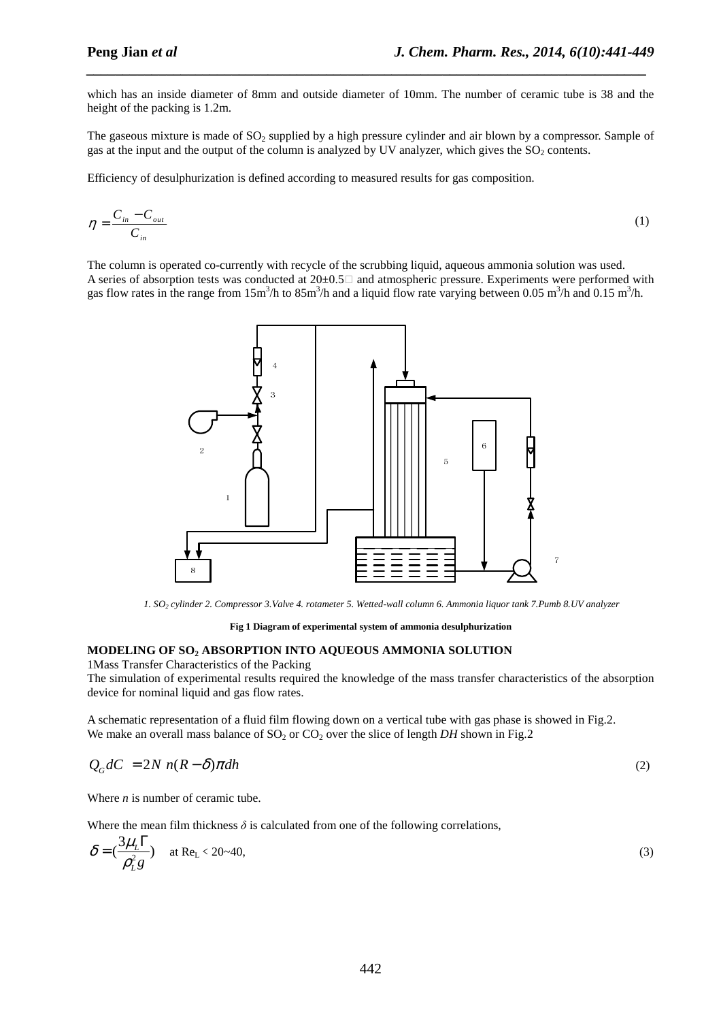which has an inside diameter of 8mm and outside diameter of 10mm. The number of ceramic tube is 38 and the height of the packing is 1.2m.

*\_\_\_\_\_\_\_\_\_\_\_\_\_\_\_\_\_\_\_\_\_\_\_\_\_\_\_\_\_\_\_\_\_\_\_\_\_\_\_\_\_\_\_\_\_\_\_\_\_\_\_\_\_\_\_\_\_\_\_\_\_\_\_\_\_\_\_\_\_\_\_\_\_\_\_\_\_*

The gaseous mixture is made of  $SO<sub>2</sub>$  supplied by a high pressure cylinder and air blown by a compressor. Sample of gas at the input and the output of the column is analyzed by UV analyzer, which gives the  $SO<sub>2</sub>$  contents.

Efficiency of desulphurization is defined according to measured results for gas composition.

$$
\eta = \frac{C_{in} - C_{out}}{C_{in}}
$$
\n<sup>(1)</sup>

The column is operated co-currently with recycle of the scrubbing liquid, aqueous ammonia solution was used. A series of absorption tests was conducted at  $20\pm0.5\degree$  and atmospheric pressure. Experiments were performed with gas flow rates in the range from 15m<sup>3</sup>/h to 85m<sup>3</sup>/h and a liquid flow rate varying between 0.05 m<sup>3</sup>/h and 0.15 m<sup>3</sup>/h.



*1. SO2 cylinder 2. Compressor 3.Valve 4. rotameter 5. Wetted-wall column 6. Ammonia liquor tank 7.Pumb 8.UV analyzer* 

**Fig 1 Diagram of experimental system of ammonia desulphurization** 

### **MODELING OF SO2 ABSORPTION INTO AQUEOUS AMMONIA SOLUTION**

1Mass Transfer Characteristics of the Packing

The simulation of experimental results required the knowledge of the mass transfer characteristics of the absorption device for nominal liquid and gas flow rates.

A schematic representation of a fluid film flowing down on a vertical tube with gas phase is showed in Fig.2. We make an overall mass balance of  $SO_2$  or  $CO_2$  over the slice of length *DH* shown in Fig.2

$$
Q_G dC = 2N n(R - \delta) \pi dh \tag{2}
$$

Where *n* is number of ceramic tube.

Where the mean film thickness  $\delta$  is calculated from one of the following correlations,

$$
\delta = \left(\frac{3\mu_L \Gamma}{\rho_L^2 g}\right) \quad \text{at } \text{Re}_L < 20 \sim 40,
$$
\n
$$
\tag{3}
$$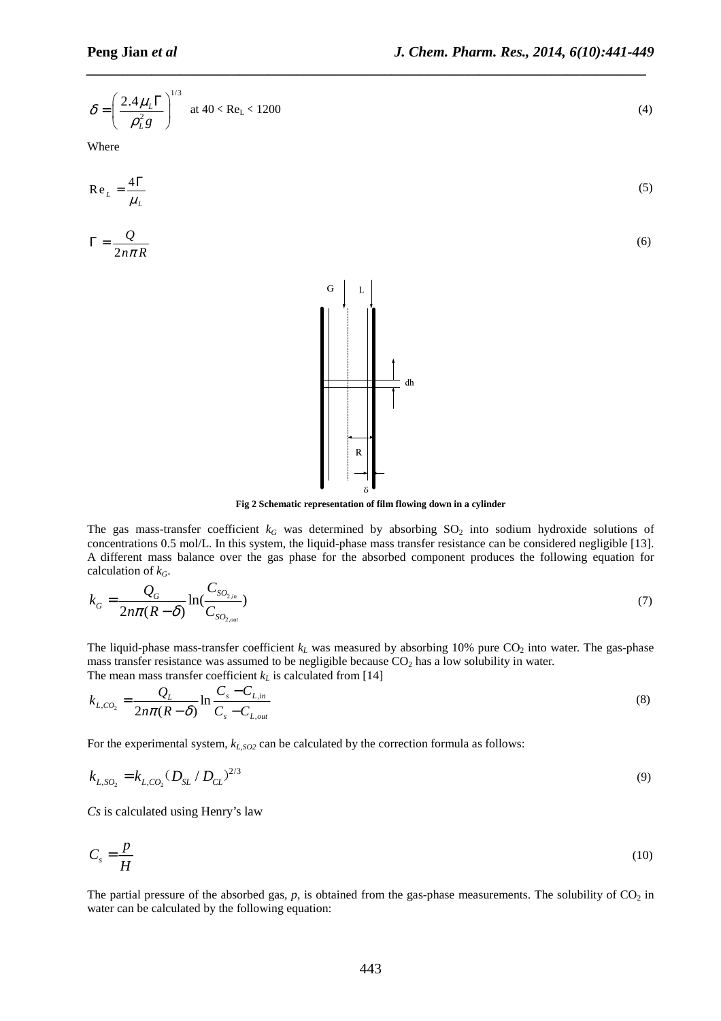$$
\delta = \left(\frac{2.4\,\mu_L\Gamma}{\rho_L^2 g}\right)^{1/3} \quad \text{at } 40 < \text{Re}_L < 1200 \tag{4}
$$

Where

$$
Re_{L} = \frac{4\Gamma}{\mu_{L}}
$$
(5)  

$$
\Gamma = \frac{Q}{2n\pi R}
$$
(6)

*\_\_\_\_\_\_\_\_\_\_\_\_\_\_\_\_\_\_\_\_\_\_\_\_\_\_\_\_\_\_\_\_\_\_\_\_\_\_\_\_\_\_\_\_\_\_\_\_\_\_\_\_\_\_\_\_\_\_\_\_\_\_\_\_\_\_\_\_\_\_\_\_\_\_\_\_\_*



The gas mass-transfer coefficient  $k_G$  was determined by absorbing  $SO_2$  into sodium hydroxide solutions of concentrations 0.5 mol/L. In this system, the liquid-phase mass transfer resistance can be considered negligible [13]. A different mass balance over the gas phase for the absorbed component produces the following equation for calculation of *kG*.

$$
k_G = \frac{Q_G}{2n\pi(R-\delta)} \ln(\frac{C_{SO_{2,in}}}{C_{SO_{2,out}}})
$$
\n(7)

The liquid-phase mass-transfer coefficient  $k<sub>L</sub>$  was measured by absorbing 10% pure  $CO<sub>2</sub>$  into water. The gas-phase mass transfer resistance was assumed to be negligible because  $CO<sub>2</sub>$  has a low solubility in water. The mean mass transfer coefficient  $k_L$  is calculated from [14]

$$
k_{L,CO_2} = \frac{Q_L}{2n\pi(R-\delta)} \ln \frac{C_s - C_{L,in}}{C_s - C_{L,out}}
$$
(8)

For the experimental system, *kL,SO2* can be calculated by the correction formula as follows:

$$
k_{L,SO_2} = k_{L,CO_2} (D_{SL} / D_{CL})^{2/3}
$$
\n(9)

*Cs* is calculated using Henry's law

$$
C_s = \frac{p}{H} \tag{10}
$$

The partial pressure of the absorbed gas,  $p$ , is obtained from the gas-phase measurements. The solubility of  $CO<sub>2</sub>$  in water can be calculated by the following equation: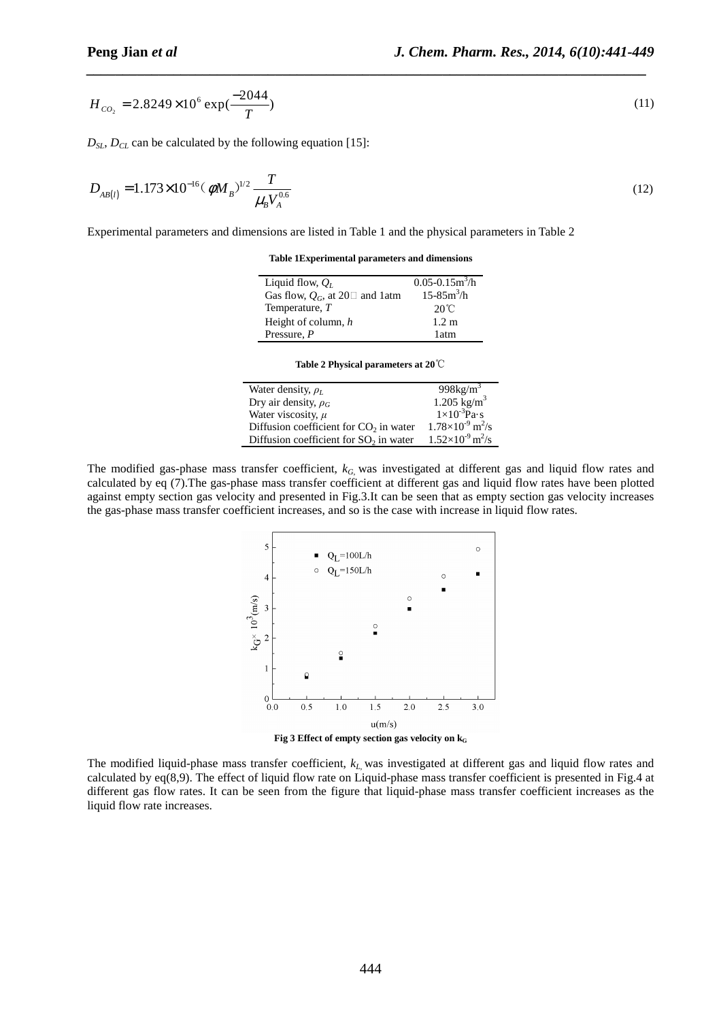$$
H_{co_2} = 2.8249 \times 10^6 \exp(\frac{-2044}{T})
$$
\n(11)

 $D_{\rm{S}L}$ ,  $D_{\rm{C}L}$  can be calculated by the following equation [15]:

$$
D_{AB(l)} = 1.173 \times 10^{-16} (\phi M_B)^{1/2} \frac{T}{\mu_B V_A^{0.6}}
$$
 (12)

Experimental parameters and dimensions are listed in Table 1 and the physical parameters in Table 2

**Table 1Experimental parameters and dimensions** 

| Liquid flow, $Q_I$                          | $0.05 - 0.15m^3/h$ |
|---------------------------------------------|--------------------|
| Gas flow, $Q_G$ , at 20 $\square$ and 1 atm | $15 - 85m^3/h$     |
| Temperature, $T$                            | $20^{\circ}$ C     |
| Height of column, h                         | 1.2 m              |
| Pressure, $P$                               | 1 atm              |

**Table 2 Physical parameters at 20**℃

| Water density, $\rho_L$                            | 998 $kg/m3$                           |
|----------------------------------------------------|---------------------------------------|
| Dry air density, $\rho_G$                          | $1.205$ kg/m <sup>3</sup>             |
| Water viscosity, $\mu$                             | $1\times10^{-3}$ Pa·s                 |
| Diffusion coefficient for CO <sub>2</sub> in water | $1.78\times10^{-9}$ m <sup>2</sup> /s |
| Diffusion coefficient for $SO2$ in water           | $1.52\times10^{-9}$ m <sup>2</sup> /s |

The modified gas-phase mass transfer coefficient, *kG*, was investigated at different gas and liquid flow rates and calculated by eq (7).The gas-phase mass transfer coefficient at different gas and liquid flow rates have been plotted against empty section gas velocity and presented in Fig.3.It can be seen that as empty section gas velocity increases the gas-phase mass transfer coefficient increases, and so is the case with increase in liquid flow rates.



The modified liquid-phase mass transfer coefficient, *kL*, was investigated at different gas and liquid flow rates and calculated by eq(8,9). The effect of liquid flow rate on Liquid-phase mass transfer coefficient is presented in Fig.4 at different gas flow rates. It can be seen from the figure that liquid-phase mass transfer coefficient increases as the liquid flow rate increases.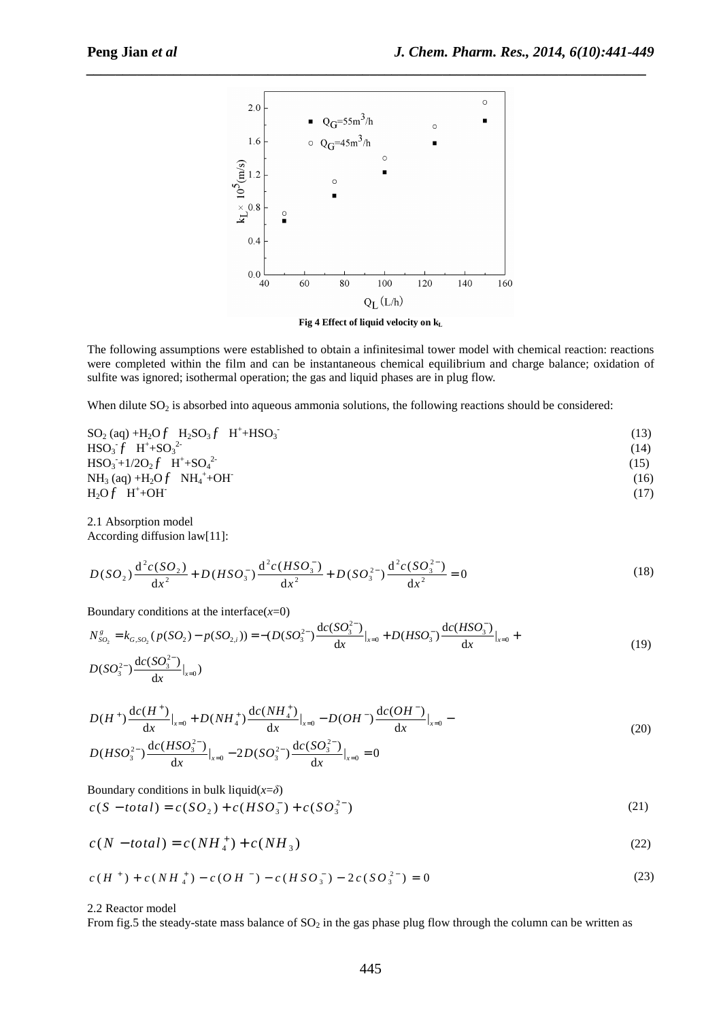

**Fig 4 Effect of liquid velocity on k<sup>L</sup>**

The following assumptions were established to obtain a infinitesimal tower model with chemical reaction: reactions were completed within the film and can be instantaneous chemical equilibrium and charge balance; oxidation of sulfite was ignored; isothermal operation; the gas and liquid phases are in plug flow.

When dilute  $SO_2$  is absorbed into aqueous ammonia solutions, the following reactions should be considered:

| $SO_2$ (aq) +H <sub>2</sub> O $f$ H <sub>2</sub> SO <sub>3</sub> $f$ H <sup>+</sup> +HSO <sub>3</sub> | (13) |
|-------------------------------------------------------------------------------------------------------|------|
| $HSO_3^-f H^+ + SO_3^2$                                                                               | (14) |
| $HSO_3 + 1/2O_2 f H^+ + SO_4^2$                                                                       | (15) |
| $NH_3$ (aq) +H <sub>2</sub> O $f$ NH <sub>4</sub> <sup>+</sup> +OH                                    | (16) |
| $H_2Of H^+ + OH^-$                                                                                    | (17) |
|                                                                                                       |      |

2.1 Absorption model According diffusion law[11]:

$$
D(SO_2) \frac{d^2c(SO_2)}{dx^2} + D(HSO_3^-) \frac{d^2c(HSO_3^-)}{dx^2} + D(SO_3^{2-}) \frac{d^2c(SO_3^{2-})}{dx^2} = 0
$$
\n(18)

Boundary conditions at the interface $(x=0)$ 

$$
N_{SO_2}^s = k_{G,SO_2}(p(SO_2) - p(SO_{2,i})) = -(D(SO_3^{2-})\frac{dc(SO_3^{2-})}{dx}|_{x=0} + D(HSO_3^-)\frac{dc(HSO_3^-)}{dx}|_{x=0} + D(SO_3^{2-})\frac{dc(SO_3^{2-})}{dx}|_{x=0})
$$
\n
$$
(19)
$$

$$
D(H^+) \frac{dc(H^+)}{dx}\Big|_{x=0} + D(NH_4^+) \frac{dc(NH_4^+)}{dx}\Big|_{x=0} - D(OH^-) \frac{dc(OH^-)}{dx}\Big|_{x=0} - D(HSO_3^{2-}) \frac{dc(HSO_3^{2-})}{dx}\Big|_{x=0} - 2D(SO_3^{2-}) \frac{dc(SO_3^{2-})}{dx}\Big|_{x=0} = 0
$$
\n(20)

Boundary conditions in bulk liquid $(x=\delta)$  $c(S - total) = c(SO_2) + c(HSO_3^-) + c(SO_3^{2-})$ (21)

$$
c(N - total) = c(NH_4^+) + c(NH_3)
$$
\n(22)

$$
c(H^+) + c(NH_4^+) - c(OH^-) - c(HSO_3^-) - 2c(SO_3^{2-}) = 0
$$
\n(23)

2.2 Reactor model

From fig.5 the steady-state mass balance of  $SO_2$  in the gas phase plug flow through the column can be written as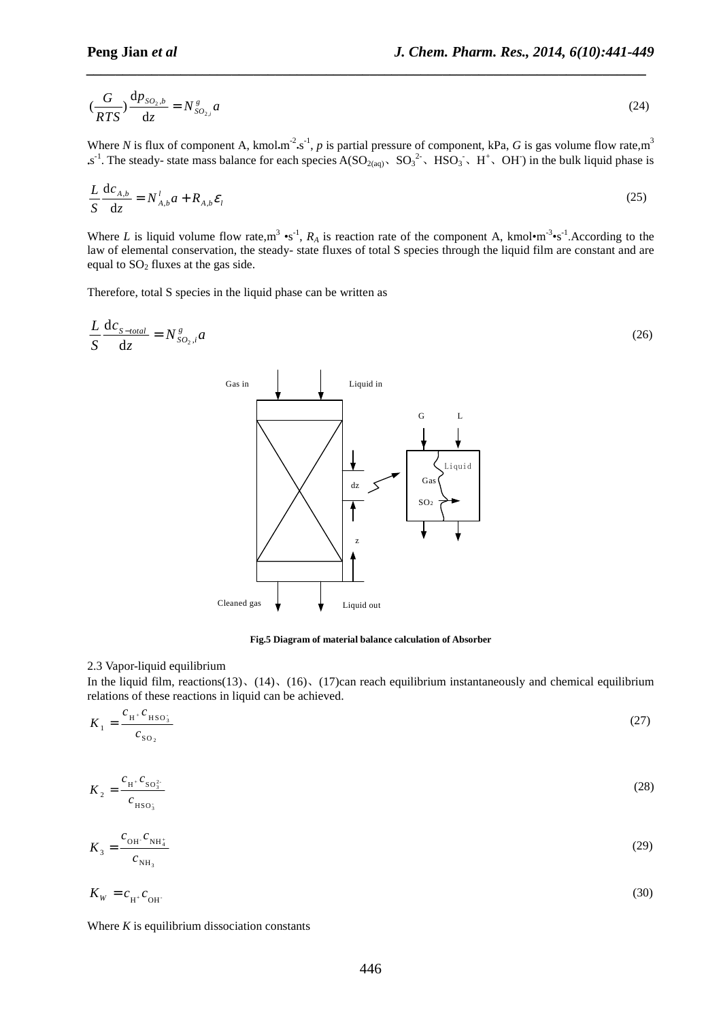$$
\left(\frac{G}{RTS}\right)\frac{\mathrm{d}p_{SO_2,b}}{\mathrm{d}z} = N_{SO_{2,i}}^g a\tag{24}
$$

Where *N* is flux of component A, kmol.m<sup>-2</sup>.s<sup>-1</sup>, *p* is partial pressure of component, kPa, *G* is gas volume flow rate,m<sup>3</sup>  $\sim s^{-1}$ . The steady-state mass balance for each species A(SO<sub>2(aq)</sub>, SO<sub>3</sub><sup>2</sup>, HSO<sub>3</sub>, H<sup>+</sup>, OH) in the bulk liquid phase is

$$
\frac{L}{S}\frac{\mathrm{d}c_{A,b}}{\mathrm{d}z} = N_{A,b}^l a + R_{A,b}\mathcal{E}_l
$$
\n(25)

Where *L* is liquid volume flow rate,  $m^3 \cdot s^{-1}$ ,  $R_A$  is reaction rate of the component A, kmol $\cdot m^{-3} \cdot s^{-1}$ . According to the law of elemental conservation, the steady- state fluxes of total S species through the liquid film are constant and are equal to  $SO<sub>2</sub>$  fluxes at the gas side.

Therefore, total S species in the liquid phase can be written as

$$
\frac{L}{S} \frac{d c_{S-total}}{dz} = N_{SO_2,i}^g a \tag{26}
$$



**Fig.5 Diagram of material balance calculation of Absorber** 

#### 2.3 Vapor-liquid equilibrium

In the liquid film, reactions(13), (14), (16), (17)can reach equilibrium instantaneously and chemical equilibrium relations of these reactions in liquid can be achieved.

$$
K_1 = \frac{c_{\text{H}^*} c_{\text{HSO}_3}}{c_{\text{SO}_2}}\tag{27}
$$

$$
K_2 = \frac{c_{H^*} c_{S O_3^2}}{c_{H S O_3}}\tag{28}
$$

$$
K_3 = \frac{c_{\text{OH}} \cdot c_{\text{NH}_4}}{c_{\text{NH}_3}} \tag{29}
$$

$$
K_{\rm w} = c_{\rm H^+} c_{\rm OH} \tag{30}
$$

Where  $K$  is equilibrium dissociation constants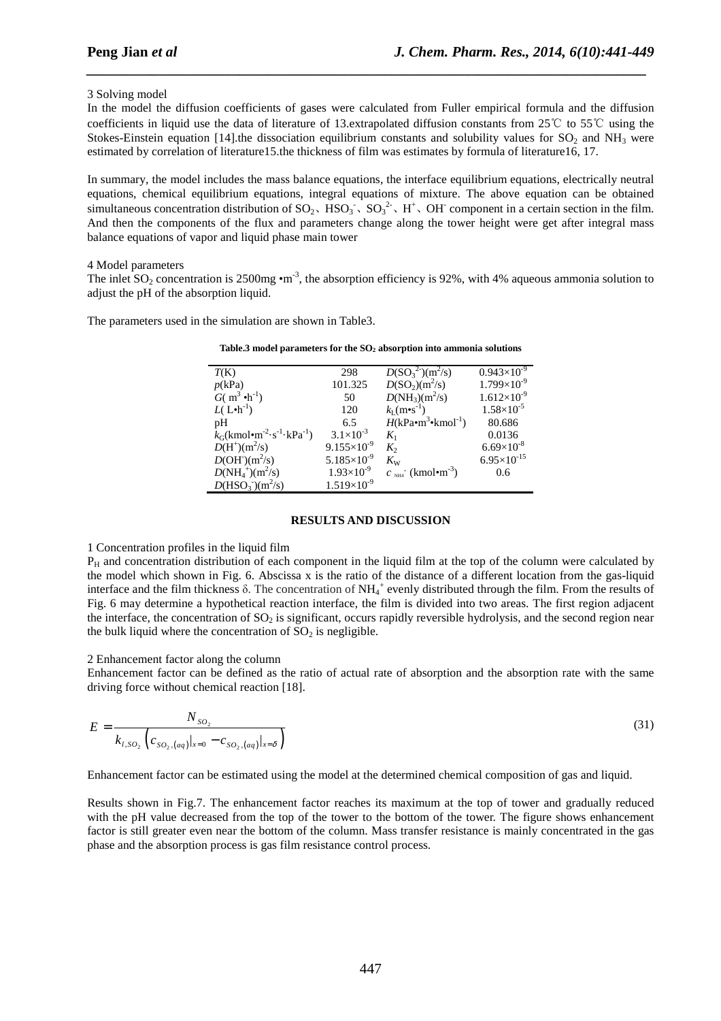### 3 Solving model

In the model the diffusion coefficients of gases were calculated from Fuller empirical formula and the diffusion coefficients in liquid use the data of literature of 13.extrapolated diffusion constants from 25℃ to 55℃ using the Stokes-Einstein equation [14].the dissociation equilibrium constants and solubility values for  $SO_2$  and NH<sub>3</sub> were estimated by correlation of literature15.the thickness of film was estimates by formula of literature16, 17.

*\_\_\_\_\_\_\_\_\_\_\_\_\_\_\_\_\_\_\_\_\_\_\_\_\_\_\_\_\_\_\_\_\_\_\_\_\_\_\_\_\_\_\_\_\_\_\_\_\_\_\_\_\_\_\_\_\_\_\_\_\_\_\_\_\_\_\_\_\_\_\_\_\_\_\_\_\_*

In summary, the model includes the mass balance equations, the interface equilibrium equations, electrically neutral equations, chemical equilibrium equations, integral equations of mixture. The above equation can be obtained simultaneous concentration distribution of  $SO_2$ ,  $HSO_3$ ,  $SO_3^2$ ,  $H^+$ , OH component in a certain section in the film. And then the components of the flux and parameters change along the tower height were get after integral mass balance equations of vapor and liquid phase main tower

#### 4 Model parameters

The inlet  $SO_2$  concentration is 2500mg •m<sup>-3</sup>, the absorption efficiency is 92%, with 4% aqueous ammonia solution to adjust the pH of the absorption liquid.

The parameters used in the simulation are shown in Table3.

| Table.3 model parameters for the $SO2$ absorption into ammonia solutions |  |  |
|--------------------------------------------------------------------------|--|--|
|--------------------------------------------------------------------------|--|--|

| T(K)                                                              | 298                    | $D(SO_3^{2-})(m^2/s)$                    | $0.943\times10^{-9}$ |
|-------------------------------------------------------------------|------------------------|------------------------------------------|----------------------|
| p(kPa)                                                            | 101.325                | $D(SO_2)(m^2/s)$                         | $1.799\times10^{-9}$ |
| $G(m^3 \cdot h^{-1})$                                             | 50                     | $D(NH_3)(m^2/s)$                         | $1.612\times10^{-9}$ |
| $L(L\cdot h^{-1})$                                                | 120                    | $k_I(m\bullet s^{-1})$                   | $1.58\times10^{-5}$  |
| pH                                                                | 6.5                    | $H(kPa\bullet m^3\bullet kmol^{-1})$     | 80.686               |
| $k_G$ (kmol•m <sup>-2</sup> ·s <sup>-1</sup> ·kPa <sup>-1</sup> ) | $3.1 \times 10^{-3}$   | $K_1$                                    | 0.0136               |
| $D(H^+(m^2/s))$                                                   | $9.155 \times 10^{-9}$ | $K_{2}$                                  | $6.69\times10^{-8}$  |
| $D(OH-)(m2/s)$                                                    | $5.185\times10^{-9}$   | $K_{\rm W}$                              | $6.95\times10^{-15}$ |
| $D(NH_4^+(m^2/s))$                                                | $1.93\times10^{-9}$    | $c_{\text{NH4}}$ (kmol•m <sup>-3</sup> ) | 0.6                  |
| $D(HSO_3^{-})(m^2/s)$                                             | $1.519\times10^{-9}$   |                                          |                      |

#### **RESULTS AND DISCUSSION**

#### 1 Concentration profiles in the liquid film

 $P_H$  and concentration distribution of each component in the liquid film at the top of the column were calculated by the model which shown in Fig. 6. Abscissa x is the ratio of the distance of a different location from the gas-liquid interface and the film thickness  $\delta$ . The concentration of NH<sub>4</sub><sup>+</sup> evenly distributed through the film. From the results of Fig. 6 may determine a hypothetical reaction interface, the film is divided into two areas. The first region adjacent the interface, the concentration of  $SO<sub>2</sub>$  is significant, occurs rapidly reversible hydrolysis, and the second region near the bulk liquid where the concentration of  $SO<sub>2</sub>$  is negligible.

### 2 Enhancement factor along the column

Enhancement factor can be defined as the ratio of actual rate of absorption and the absorption rate with the same driving force without chemical reaction [18].

$$
E = \frac{N_{SO_2}}{k_{l,SO_2} \left( c_{SO_2,(aq)}|_{x=0} - c_{SO_2,(aq)}|_{x=\delta} \right)}
$$
(31)

Enhancement factor can be estimated using the model at the determined chemical composition of gas and liquid.

Results shown in Fig.7. The enhancement factor reaches its maximum at the top of tower and gradually reduced with the pH value decreased from the top of the tower to the bottom of the tower. The figure shows enhancement factor is still greater even near the bottom of the column. Mass transfer resistance is mainly concentrated in the gas phase and the absorption process is gas film resistance control process.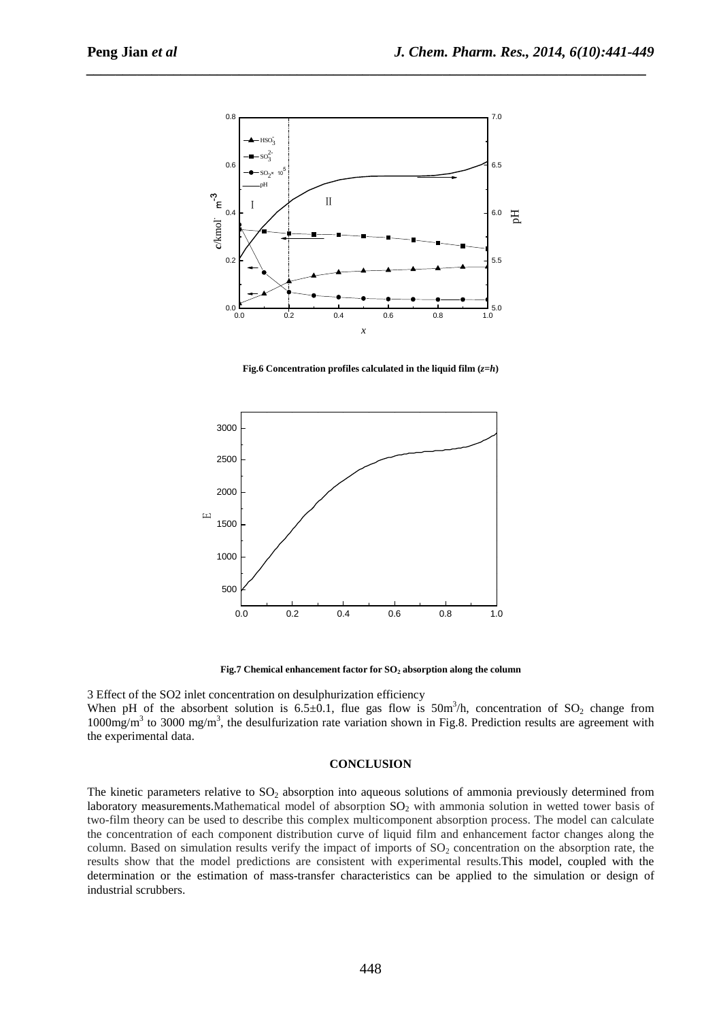

**Fig.6 Concentration profiles calculated in the liquid film**  $(z=h)$ 



**Fig.7 Chemical enhancement factor for SO2 absorption along the column** 

3 Effect of the SO2 inlet concentration on desulphurization efficiency When pH of the absorbent solution is  $6.5 \pm 0.1$ , flue gas flow is  $50 \text{m}^3$ /h, concentration of  $SO_2$  change from  $1000$ mg/m<sup>3</sup> to 3000 mg/m<sup>3</sup>, the desulfurization rate variation shown in Fig.8. Prediction results are agreement with the experimental data.

### **CONCLUSION**

The kinetic parameters relative to  $SO<sub>2</sub>$  absorption into aqueous solutions of ammonia previously determined from laboratory measurements. Mathematical model of absorption  $SO<sub>2</sub>$  with ammonia solution in wetted tower basis of two-film theory can be used to describe this complex multicomponent absorption process. The model can calculate the concentration of each component distribution curve of liquid film and enhancement factor changes along the column. Based on simulation results verify the impact of imports of  $SO<sub>2</sub>$  concentration on the absorption rate, the results show that the model predictions are consistent with experimental results.This model, coupled with the determination or the estimation of mass-transfer characteristics can be applied to the simulation or design of industrial scrubbers.